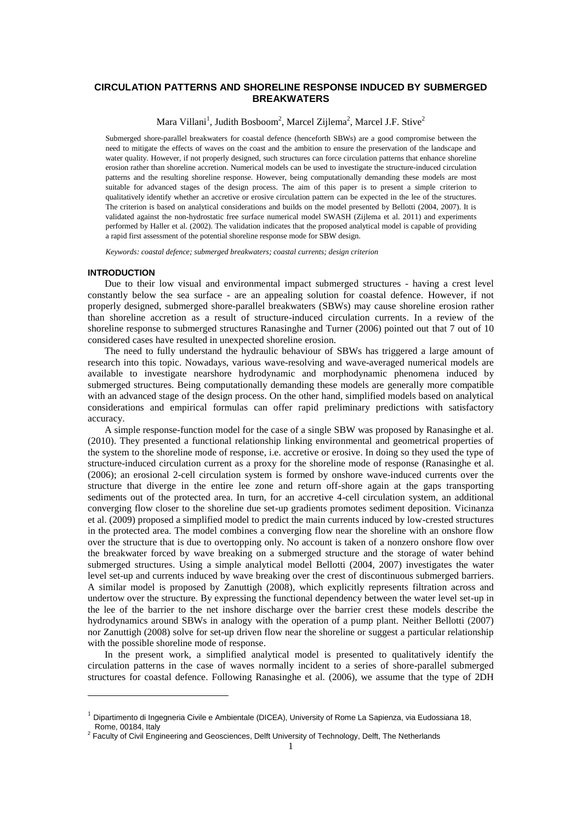# **CIRCULATION PATTERNS AND SHORELINE RESPONSE INDUCED BY SUBMERGED BREAKWATERS**

Mara Villani<sup>1</sup>, Judith Bosboom<sup>2</sup>, Marcel Zijlema<sup>2</sup>, Marcel J.F. Stive<sup>2</sup>

Submerged shore-parallel breakwaters for coastal defence (henceforth SBWs) are a good compromise between the need to mitigate the effects of waves on the coast and the ambition to ensure the preservation of the landscape and water quality. However, if not properly designed, such structures can force circulation patterns that enhance shoreline erosion rather than shoreline accretion. Numerical models can be used to investigate the structure-induced circulation patterns and the resulting shoreline response. However, being computationally demanding these models are most suitable for advanced stages of the design process. The aim of this paper is to present a simple criterion to qualitatively identify whether an accretive or erosive circulation pattern can be expected in the lee of the structures. The criterion is based on analytical considerations and builds on the model presented by Bellotti (2004, 2007). It is validated against the non-hydrostatic free surface numerical model SWASH (Zijlema et al. 2011) and experiments performed by Haller et al. (2002). The validation indicates that the proposed analytical model is capable of providing a rapid first assessment of the potential shoreline response mode for SBW design.

*Keywords: coastal defence; submerged breakwaters; coastal currents; design criterion* 

#### **INTRODUCTION**

l

Due to their low visual and environmental impact submerged structures - having a crest level constantly below the sea surface - are an appealing solution for coastal defence. However, if not properly designed, submerged shore-parallel breakwaters (SBWs) may cause shoreline erosion rather than shoreline accretion as a result of structure-induced circulation currents. In a review of the shoreline response to submerged structures Ranasinghe and Turner (2006) pointed out that 7 out of 10 considered cases have resulted in unexpected shoreline erosion.

The need to fully understand the hydraulic behaviour of SBWs has triggered a large amount of research into this topic. Nowadays, various wave-resolving and wave-averaged numerical models are available to investigate nearshore hydrodynamic and morphodynamic phenomena induced by submerged structures. Being computationally demanding these models are generally more compatible with an advanced stage of the design process. On the other hand, simplified models based on analytical considerations and empirical formulas can offer rapid preliminary predictions with satisfactory accuracy.

A simple response-function model for the case of a single SBW was proposed by Ranasinghe et al. (2010). They presented a functional relationship linking environmental and geometrical properties of the system to the shoreline mode of response, i.e. accretive or erosive. In doing so they used the type of structure-induced circulation current as a proxy for the shoreline mode of response (Ranasinghe et al. (2006); an erosional 2-cell circulation system is formed by onshore wave-induced currents over the structure that diverge in the entire lee zone and return off-shore again at the gaps transporting sediments out of the protected area. In turn, for an accretive 4-cell circulation system, an additional converging flow closer to the shoreline due set-up gradients promotes sediment deposition. Vicinanza et al. (2009) proposed a simplified model to predict the main currents induced by low-crested structures in the protected area. The model combines a converging flow near the shoreline with an onshore flow over the structure that is due to overtopping only. No account is taken of a nonzero onshore flow over the breakwater forced by wave breaking on a submerged structure and the storage of water behind submerged structures. Using a simple analytical model Bellotti (2004, 2007) investigates the water level set-up and currents induced by wave breaking over the crest of discontinuous submerged barriers. A similar model is proposed by Zanuttigh (2008), which explicitly represents filtration across and undertow over the structure. By expressing the functional dependency between the water level set-up in the lee of the barrier to the net inshore discharge over the barrier crest these models describe the hydrodynamics around SBWs in analogy with the operation of a pump plant. Neither Bellotti (2007) nor Zanuttigh (2008) solve for set-up driven flow near the shoreline or suggest a particular relationship with the possible shoreline mode of response.

In the present work, a simplified analytical model is presented to qualitatively identify the circulation patterns in the case of waves normally incident to a series of shore-parallel submerged structures for coastal defence. Following Ranasinghe et al. (2006), we assume that the type of 2DH

<sup>&</sup>lt;sup>1</sup> Dipartimento di Ingegneria Civile e Ambientale (DICEA), University of Rome La Sapienza, via Eudossiana 18, Rome, 00184, Italy

<sup>&</sup>lt;sup>2</sup> Faculty of Civil Engineering and Geosciences, Delft University of Technology, Delft, The Netherlands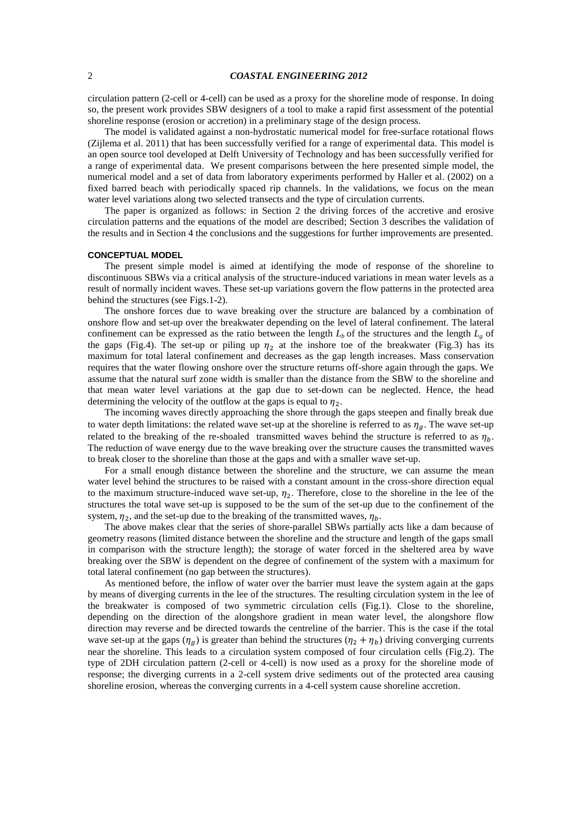## 2 *COASTAL ENGINEERING 2012*

circulation pattern (2-cell or 4-cell) can be used as a proxy for the shoreline mode of response. In doing so, the present work provides SBW designers of a tool to make a rapid first assessment of the potential shoreline response (erosion or accretion) in a preliminary stage of the design process.

The model is validated against a non-hydrostatic numerical model for free-surface rotational flows (Zijlema et al. 2011) that has been successfully verified for a range of experimental data. This model is an open source tool developed at Delft University of Technology and has been successfully verified for a range of experimental data. We present comparisons between the here presented simple model, the numerical model and a set of data from laboratory experiments performed by Haller et al. (2002) on a fixed barred beach with periodically spaced rip channels. In the validations, we focus on the mean water level variations along two selected transects and the type of circulation currents.

The paper is organized as follows: in Section 2 the driving forces of the accretive and erosive circulation patterns and the equations of the model are described; Section 3 describes the validation of the results and in Section 4 the conclusions and the suggestions for further improvements are presented.

#### **CONCEPTUAL MODEL**

The present simple model is aimed at identifying the mode of response of the shoreline to discontinuous SBWs via a critical analysis of the structure-induced variations in mean water levels as a result of normally incident waves. These set-up variations govern the flow patterns in the protected area behind the structures (see Figs.1-2).

The onshore forces due to wave breaking over the structure are balanced by a combination of onshore flow and set-up over the breakwater depending on the level of lateral confinement. The lateral confinement can be expressed as the ratio between the length  $L_b$  of the structures and the length  $L_p$  of the gaps (Fig.4). The set-up or piling up  $\eta_2$  at the inshore toe of the breakwater (Fig.3) has its maximum for total lateral confinement and decreases as the gap length increases. Mass conservation requires that the water flowing onshore over the structure returns off-shore again through the gaps. We assume that the natural surf zone width is smaller than the distance from the SBW to the shoreline and that mean water level variations at the gap due to set-down can be neglected. Hence, the head determining the velocity of the outflow at the gaps is equal to  $\eta_2$ .

The incoming waves directly approaching the shore through the gaps steepen and finally break due to water depth limitations: the related wave set-up at the shoreline is referred to as  $\eta_g$ . The wave set-up related to the breaking of the re-shoaled transmitted waves behind the structure is referred to as  $\eta_h$ . The reduction of wave energy due to the wave breaking over the structure causes the transmitted waves to break closer to the shoreline than those at the gaps and with a smaller wave set-up.

For a small enough distance between the shoreline and the structure, we can assume the mean water level behind the structures to be raised with a constant amount in the cross-shore direction equal to the maximum structure-induced wave set-up,  $\eta_2$ . Therefore, close to the shoreline in the lee of the structures the total wave set-up is supposed to be the sum of the set-up due to the confinement of the system,  $\eta_2$ , and the set-up due to the breaking of the transmitted waves,

The above makes clear that the series of shore-parallel SBWs partially acts like a dam because of geometry reasons (limited distance between the shoreline and the structure and length of the gaps small in comparison with the structure length); the storage of water forced in the sheltered area by wave breaking over the SBW is dependent on the degree of confinement of the system with a maximum for total lateral confinement (no gap between the structures).

As mentioned before, the inflow of water over the barrier must leave the system again at the gaps by means of diverging currents in the lee of the structures. The resulting circulation system in the lee of the breakwater is composed of two symmetric circulation cells (Fig.1). Close to the shoreline, depending on the direction of the alongshore gradient in mean water level, the alongshore flow direction may reverse and be directed towards the centreline of the barrier. This is the case if the total wave set-up at the gaps  $(\eta_g)$  is greater than behind the structures  $(\eta_2 + \eta_b)$  driving converging currents near the shoreline. This leads to a circulation system composed of four circulation cells (Fig.2). The type of 2DH circulation pattern (2-cell or 4-cell) is now used as a proxy for the shoreline mode of response; the diverging currents in a 2-cell system drive sediments out of the protected area causing shoreline erosion, whereas the converging currents in a 4-cell system cause shoreline accretion.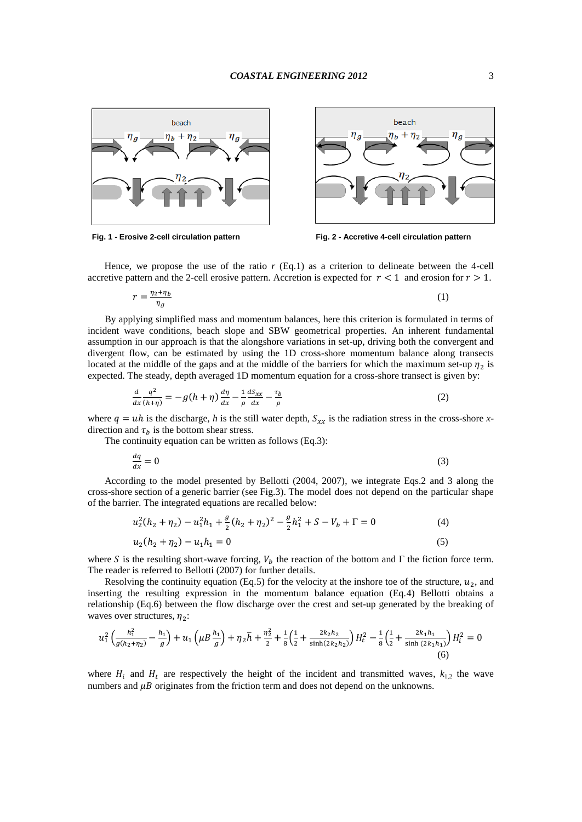



**Fig. 1 - Erosive 2-cell circulation pattern Fig. 2 - Accretive 4-cell circulation pattern**

Hence, we propose the use of the ratio *r* (Eq.1) as a criterion to delineate between the 4-cell accretive pattern and the 2-cell erosive pattern. Accretion is expected for  $r < 1$  and erosion for  $r > 1$ .

$$
r = \frac{\eta_2 + \eta_b}{\eta_a} \tag{1}
$$

By applying simplified mass and momentum balances, here this criterion is formulated in terms of incident wave conditions, beach slope and SBW geometrical properties. An inherent fundamental assumption in our approach is that the alongshore variations in set-up, driving both the convergent and divergent flow, can be estimated by using the 1D cross-shore momentum balance along transects located at the middle of the gaps and at the middle of the barriers for which the maximum set-up  $\eta_2$  is expected. The steady, depth averaged 1D momentum equation for a cross-shore transect is given by:

$$
\frac{d}{dx}\frac{q^2}{(h+\eta)} = -g(h+\eta)\frac{d\eta}{dx} - \frac{1}{\rho}\frac{dS_{xx}}{dx} - \frac{\tau_b}{\rho}
$$
\n(2)

where  $q = uh$  is the discharge, *h* is the still water depth,  $S_{xx}$  is the radiation stress in the cross-shore *x*direction and  $\tau_h$  is the bottom shear stress.

The continuity equation can be written as follows (Eq.3):

$$
\frac{dq}{dx} = 0\tag{3}
$$

According to the model presented by Bellotti (2004, 2007), we integrate Eqs.2 and 3 along the cross-shore section of a generic barrier (see Fig.3). The model does not depend on the particular shape of the barrier. The integrated equations are recalled below:

$$
u_2^2(h_2 + \eta_2) - u_1^2 h_1 + \frac{g}{2}(h_2 + \eta_2)^2 - \frac{g}{2}h_1^2 + S - V_b + \Gamma = 0
$$
\n
$$
u_2(h_2 + \eta_2) - u_1 h_1 = 0
$$
\n(5)

where S is the resulting short-wave forcing,  $V_b$  the reaction of the bottom and  $\Gamma$  the fiction force term. The reader is referred to Bellotti (2007) for further details.

Resolving the continuity equation (Eq.5) for the velocity at the inshore toe of the structure,  $u_2$ , and inserting the resulting expression in the momentum balance equation (Eq.4) Bellotti obtains a relationship (Eq.6) between the flow discharge over the crest and set-up generated by the breaking of waves over structures,  $\eta_2$ :

$$
u_1^2 \left(\frac{h_1^2}{g(h_2 + \eta_2)} - \frac{h_1}{g}\right) + u_1 \left(\mu B \frac{h_1}{g}\right) + \eta_2 \bar{h} + \frac{\eta_2^2}{2} + \frac{1}{8} \left(\frac{1}{2} + \frac{2k_2 h_2}{\sinh(2k_2 h_2)}\right) H_t^2 - \frac{1}{8} \left(\frac{1}{2} + \frac{2k_1 h_1}{\sinh(2k_1 h_1)}\right) H_t^2 = 0
$$
\n
$$
(6)
$$

where  $H_i$  and  $H_t$  are respectively the height of the incident and transmitted waves,  $k_{1,2}$  the wave numbers and  $\mu$ B originates from the friction term and does not depend on the unknowns.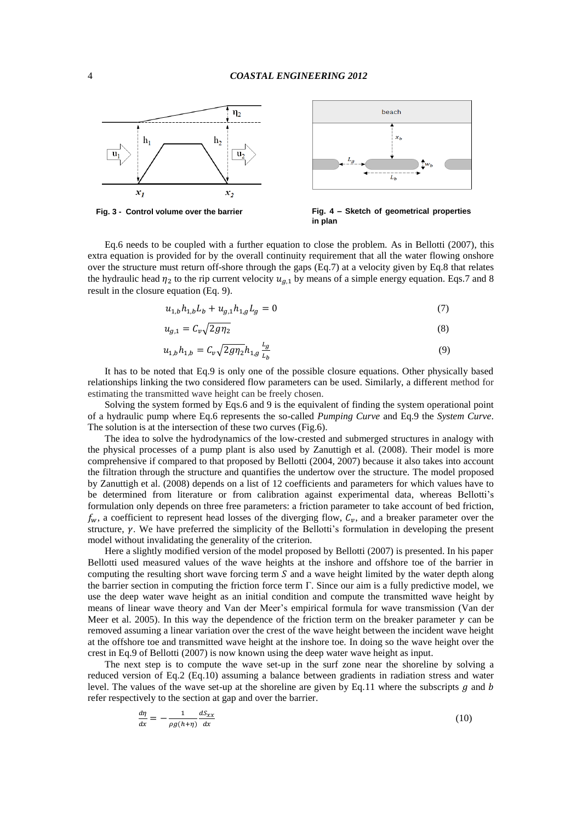



**Fig. 3 - Control volume over the barrier Fig. 4 – Sketch of geometrical properties in plan**

Eq.6 needs to be coupled with a further equation to close the problem. As in Bellotti (2007), this extra equation is provided for by the overall continuity requirement that all the water flowing onshore over the structure must return off-shore through the gaps (Eq.7) at a velocity given by Eq.8 that relates the hydraulic head  $\eta_2$  to the rip current velocity  $u_{a,1}$  by means of a simple energy equation. Eqs.7 and 8 result in the closure equation (Eq. 9).

$$
u_{1,b}h_{1,b}L_b + u_{g,1}h_{1,g}L_g = 0
$$
\n<sup>(7)</sup>

$$
u_{g,1} = C_v \sqrt{2g\eta_2} \tag{8}
$$

$$
u_{1,b}h_{1,b} = C_v \sqrt{2g\eta_2} h_{1,g} \frac{L_g}{L_b}
$$
\n(9)

It has to be noted that Eq.9 is only one of the possible closure equations. Other physically based relationships linking the two considered flow parameters can be used. Similarly, a different method for estimating the transmitted wave height can be freely chosen.

Solving the system formed by Eqs.6 and 9 is the equivalent of finding the system operational point of a hydraulic pump where Eq.6 represents the so-called *Pumping Curve* and Eq.9 the *System Curve*. The solution is at the intersection of these two curves (Fig.6).

The idea to solve the hydrodynamics of the low-crested and submerged structures in analogy with the physical processes of a pump plant is also used by Zanuttigh et al. (2008). Their model is more comprehensive if compared to that proposed by Bellotti (2004, 2007) because it also takes into account the filtration through the structure and quantifies the undertow over the structure. The model proposed by Zanuttigh et al. (2008) depends on a list of 12 coefficients and parameters for which values have to be determined from literature or from calibration against experimental data, whereas Bellotti's formulation only depends on three free parameters: a friction parameter to take account of bed friction,  $f_w$ , a coefficient to represent head losses of the diverging flow,  $C_v$ , and a breaker parameter over the structure,  $\gamma$ . We have preferred the simplicity of the Bellotti's formulation in developing the present model without invalidating the generality of the criterion.

Here a slightly modified version of the model proposed by Bellotti (2007) is presented. In his paper Bellotti used measured values of the wave heights at the inshore and offshore toe of the barrier in computing the resulting short wave forcing term  $S$  and a wave height limited by the water depth along the barrier section in computing the friction force term  $\Gamma$ . Since our aim is a fully predictive model, we use the deep water wave height as an initial condition and compute the transmitted wave height by means of linear wave theory and Van der Meer's empirical formula for wave transmission (Van der Meer et al. 2005). In this way the dependence of the friction term on the breaker parameter  $\gamma$  can be removed assuming a linear variation over the crest of the wave height between the incident wave height at the offshore toe and transmitted wave height at the inshore toe. In doing so the wave height over the crest in Eq.9 of Bellotti (2007) is now known using the deep water wave height as input.

The next step is to compute the wave set-up in the surf zone near the shoreline by solving a reduced version of Eq.2 (Eq.10) assuming a balance between gradients in radiation stress and water level. The values of the wave set-up at the shoreline are given by Eq.11 where the subscripts  $g$  and  $b$ refer respectively to the section at gap and over the barrier.

$$
\frac{d\eta}{dx} = -\frac{1}{\rho g(h+\eta)} \frac{dS_{xx}}{dx} \tag{10}
$$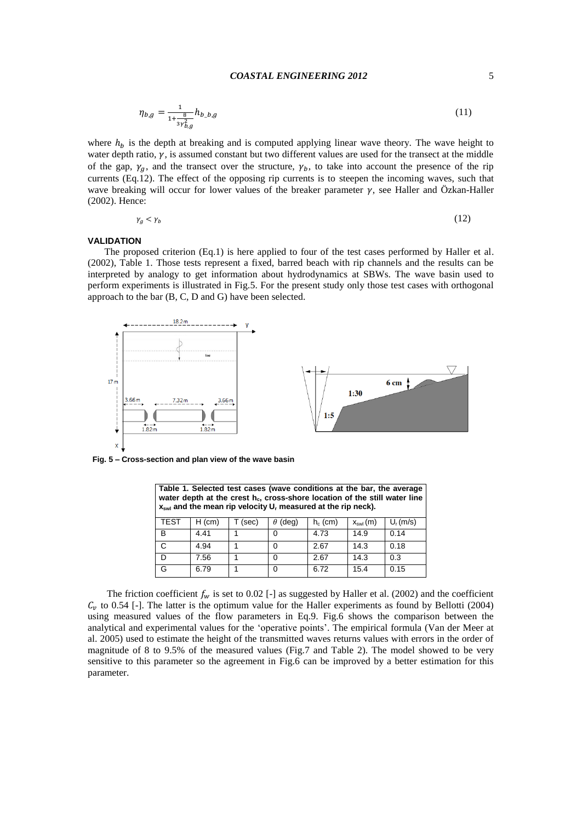## *COASTAL ENGINEERING 2012* 5

$$
\eta_{b,g} = \frac{1}{1 + \frac{8}{3\gamma_{b,g}^2}} h_{b\_b,g} \tag{11}
$$

where  $h_b$  is the depth at breaking and is computed applying linear wave theory. The wave height to water depth ratio,  $\gamma$ , is assumed constant but two different values are used for the transect at the middle of the gap,  $\gamma_a$ , and the transect over the structure,  $\gamma_b$ , to take into account the presence of the rip currents (Eq.12). The effect of the opposing rip currents is to steepen the incoming waves, such that wave breaking will occur for lower values of the breaker parameter  $\gamma$ , see Haller and Özkan-Haller (2002). Hence:

$$
\gamma_g < \gamma_b \tag{12}
$$

#### **VALIDATION**

The proposed criterion (Eq.1) is here applied to four of the test cases performed by Haller et al. (2002), Table 1. Those tests represent a fixed, barred beach with rip channels and the results can be interpreted by analogy to get information about hydrodynamics at SBWs. The wave basin used to perform experiments is illustrated in Fig.5. For the present study only those test cases with orthogonal approach to the bar (B, C, D and G) have been selected.



**Fig. 5 – Cross-section and plan view of the wave basin**

| Table 1. Selected test cases (wave conditions at the bar, the average<br>water depth at the crest $h_c$ , cross-shore location of the still water line<br>$x_{swl}$ and the mean rip velocity $U_r$ measured at the rip neck). |          |       |            |            |                     |             |
|--------------------------------------------------------------------------------------------------------------------------------------------------------------------------------------------------------------------------------|----------|-------|------------|------------|---------------------|-------------|
| <b>TEST</b>                                                                                                                                                                                                                    | $H$ (cm) | (sec) | (deq)<br>θ | $h_c$ (cm) | $X_{\text{swl}}(m)$ | $U_r$ (m/s) |
| B                                                                                                                                                                                                                              | 4.41     |       | 0          | 4.73       | 14.9                | 0.14        |
| C                                                                                                                                                                                                                              | 4.94     |       | 0          | 2.67       | 14.3                | 0.18        |
| D                                                                                                                                                                                                                              | 7.56     |       | 0          | 2.67       | 14.3                | 0.3         |
| G                                                                                                                                                                                                                              | 6.79     |       | 0          | 6.72       | 15.4                | 0.15        |

The friction coefficient  $f_w$  is set to 0.02 [-] as suggested by Haller et al. (2002) and the coefficient  $C<sub>v</sub>$  to 0.54 [-]. The latter is the optimum value for the Haller experiments as found by Bellotti (2004) using measured values of the flow parameters in Eq.9. Fig.6 shows the comparison between the analytical and experimental values for the 'operative points'. The empirical formula (Van der Meer at al. 2005) used to estimate the height of the transmitted waves returns values with errors in the order of magnitude of 8 to 9.5% of the measured values (Fig.7 and Table 2). The model showed to be very sensitive to this parameter so the agreement in Fig.6 can be improved by a better estimation for this parameter.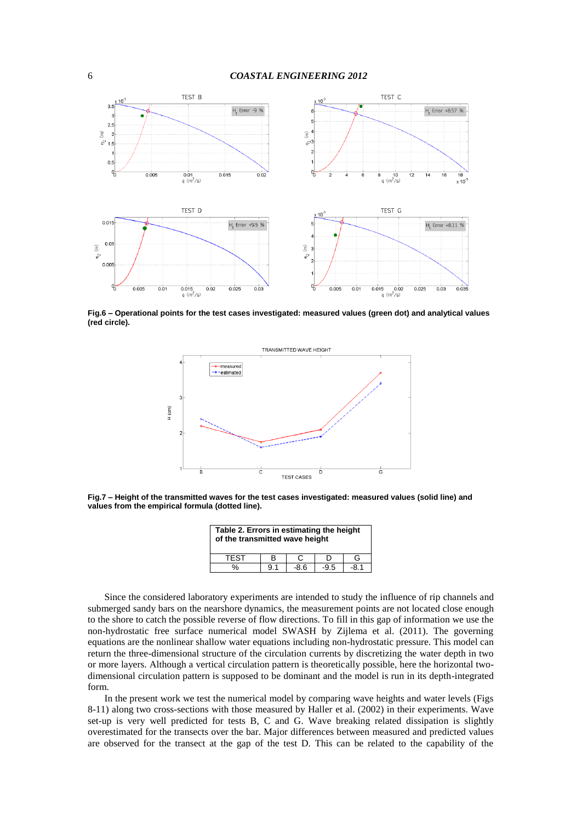

**Fig.6 – Operational points for the test cases investigated: measured values (green dot) and analytical values (red circle).**



**Fig.7 – Height of the transmitted waves for the test cases investigated: measured values (solid line) and values from the empirical formula (dotted line).**

| Table 2. Errors in estimating the height<br>of the transmitted wave height |     |        |        |      |  |
|----------------------------------------------------------------------------|-----|--------|--------|------|--|
| <b>TFST</b>                                                                | в   | C      |        | G    |  |
| %                                                                          | 9.1 | $-8.6$ | $-9.5$ | -8.1 |  |

Since the considered laboratory experiments are intended to study the influence of rip channels and submerged sandy bars on the nearshore dynamics, the measurement points are not located close enough to the shore to catch the possible reverse of flow directions. To fill in this gap of information we use the non-hydrostatic free surface numerical model SWASH by Zijlema et al. (2011). The governing equations are the nonlinear shallow water equations including non-hydrostatic pressure. This model can return the three-dimensional structure of the circulation currents by discretizing the water depth in two or more layers. Although a vertical circulation pattern is theoretically possible, here the horizontal twodimensional circulation pattern is supposed to be dominant and the model is run in its depth-integrated form.

In the present work we test the numerical model by comparing wave heights and water levels (Figs 8-11) along two cross-sections with those measured by Haller et al. (2002) in their experiments. Wave set-up is very well predicted for tests B, C and G. Wave breaking related dissipation is slightly overestimated for the transects over the bar. Major differences between measured and predicted values are observed for the transect at the gap of the test D. This can be related to the capability of the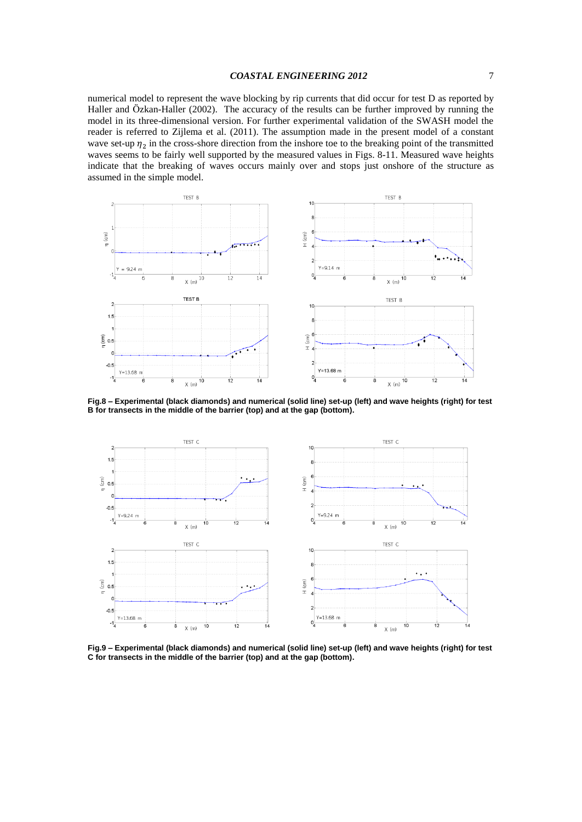numerical model to represent the wave blocking by rip currents that did occur for test D as reported by Haller and Ӧzkan-Haller (2002). The accuracy of the results can be further improved by running the model in its three-dimensional version. For further experimental validation of the SWASH model the reader is referred to Zijlema et al. (2011). The assumption made in the present model of a constant wave set-up  $\eta_2$  in the cross-shore direction from the inshore toe to the breaking point of the transmitted waves seems to be fairly well supported by the measured values in Figs. 8-11. Measured wave heights indicate that the breaking of waves occurs mainly over and stops just onshore of the structure as assumed in the simple model.



**Fig.8 – Experimental (black diamonds) and numerical (solid line) set-up (left) and wave heights (right) for test B for transects in the middle of the barrier (top) and at the gap (bottom).**



**Fig.9 – Experimental (black diamonds) and numerical (solid line) set-up (left) and wave heights (right) for test C for transects in the middle of the barrier (top) and at the gap (bottom).**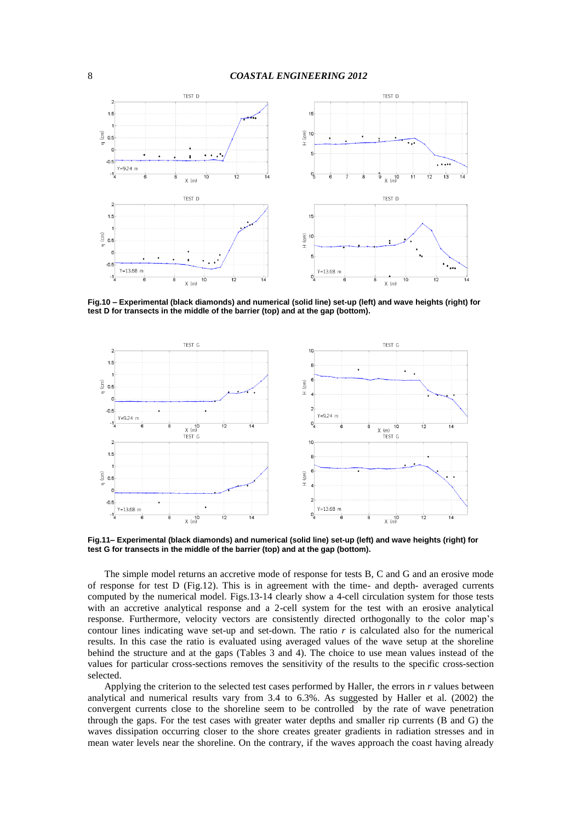

**Fig.10 – Experimental (black diamonds) and numerical (solid line) set-up (left) and wave heights (right) for test D for transects in the middle of the barrier (top) and at the gap (bottom).**



**Fig.11– Experimental (black diamonds) and numerical (solid line) set-up (left) and wave heights (right) for test G for transects in the middle of the barrier (top) and at the gap (bottom).**

The simple model returns an accretive mode of response for tests B, C and G and an erosive mode of response for test D (Fig.12). This is in agreement with the time- and depth- averaged currents computed by the numerical model. Figs.13-14 clearly show a 4-cell circulation system for those tests with an accretive analytical response and a 2-cell system for the test with an erosive analytical response. Furthermore, velocity vectors are consistently directed orthogonally to the color map's contour lines indicating wave set-up and set-down. The ratio  $r$  is calculated also for the numerical results. In this case the ratio is evaluated using averaged values of the wave setup at the shoreline behind the structure and at the gaps (Tables 3 and 4). The choice to use mean values instead of the values for particular cross-sections removes the sensitivity of the results to the specific cross-section selected.

Applying the criterion to the selected test cases performed by Haller, the errors in *r* values between analytical and numerical results vary from 3.4 to 6.3%. As suggested by Haller et al. (2002) the convergent currents close to the shoreline seem to be controlled by the rate of wave penetration through the gaps. For the test cases with greater water depths and smaller rip currents (B and G) the waves dissipation occurring closer to the shore creates greater gradients in radiation stresses and in mean water levels near the shoreline. On the contrary, if the waves approach the coast having already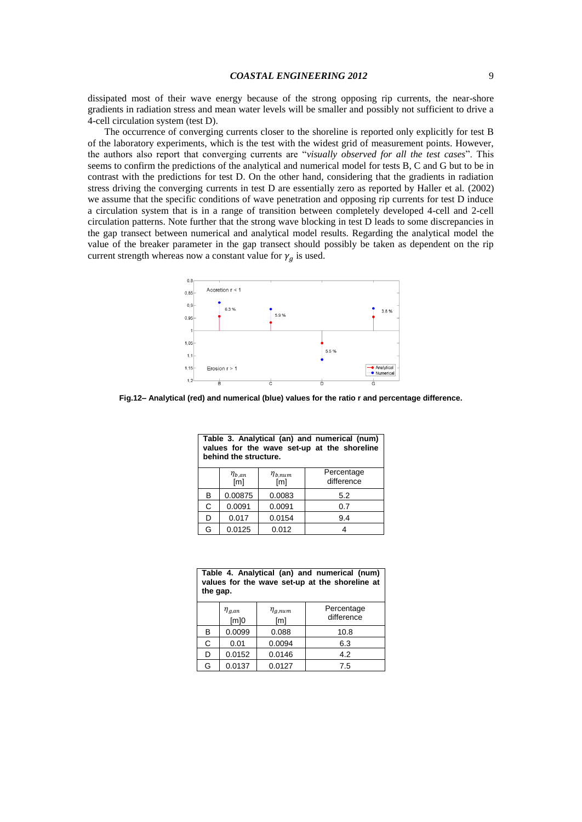dissipated most of their wave energy because of the strong opposing rip currents, the near-shore gradients in radiation stress and mean water levels will be smaller and possibly not sufficient to drive a 4-cell circulation system (test D).

The occurrence of converging currents closer to the shoreline is reported only explicitly for test B of the laboratory experiments, which is the test with the widest grid of measurement points. However, the authors also report that converging currents are "*visually observed for all the test cases*". This seems to confirm the predictions of the analytical and numerical model for tests B, C and G but to be in contrast with the predictions for test D. On the other hand, considering that the gradients in radiation stress driving the converging currents in test D are essentially zero as reported by Haller et al. (2002) we assume that the specific conditions of wave penetration and opposing rip currents for test D induce a circulation system that is in a range of transition between completely developed 4-cell and 2-cell circulation patterns. Note further that the strong wave blocking in test D leads to some discrepancies in the gap transect between numerical and analytical model results. Regarding the analytical model the value of the breaker parameter in the gap transect should possibly be taken as dependent on the rip current strength whereas now a constant value for  $\gamma_a$  is used.



**Fig.12– Analytical (red) and numerical (blue) values for the ratio r and percentage difference.**

| Table 3. Analytical (an) and numerical (num)<br>values for the wave set-up at the shoreline<br>behind the structure. |                       |                       |                          |  |
|----------------------------------------------------------------------------------------------------------------------|-----------------------|-----------------------|--------------------------|--|
|                                                                                                                      | $\eta_{b,an}$<br>[ml] | $\eta_{b,num}$<br>[m] | Percentage<br>difference |  |
| в                                                                                                                    | 0.00875               | 0.0083                | 5.2                      |  |
| C                                                                                                                    | 0.0091                | 0.0091                | 0.7                      |  |
| D                                                                                                                    | 0.017                 | 0.0154                | 9.4                      |  |
| G                                                                                                                    | 0.0125                | 0.012                 |                          |  |

| Table 4. Analytical (an) and numerical (num)   |
|------------------------------------------------|
| values for the wave set-up at the shoreline at |
| the gap.                                       |

|   | $\eta_{g,an}$ [m]0 | $\eta_{g,num}$<br>[ <sub>m</sub> ] | Percentage<br>difference |
|---|--------------------|------------------------------------|--------------------------|
| B | 0.0099             | 0.088                              | 10.8                     |
| С | 0.01               | 0.0094                             | 6.3                      |
| D | 0.0152             | 0.0146                             | 4.2                      |
| G | 0.0137             | 0.0127                             | 7.5                      |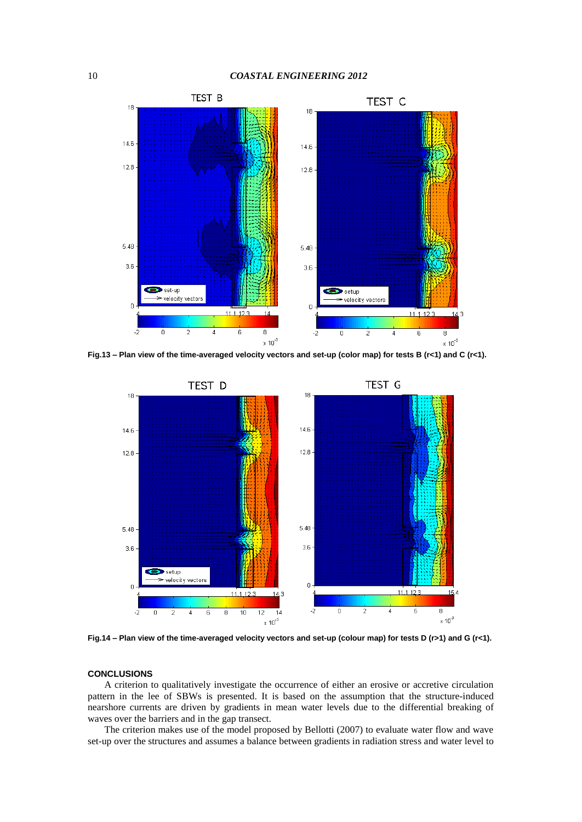

**Fig.13 – Plan view of the time-averaged velocity vectors and set-up (color map) for tests B (r<1) and C (r<1).**



**Fig.14 – Plan view of the time-averaged velocity vectors and set-up (colour map) for tests D (r>1) and G (r<1).**

## **CONCLUSIONS**

A criterion to qualitatively investigate the occurrence of either an erosive or accretive circulation pattern in the lee of SBWs is presented. It is based on the assumption that the structure-induced nearshore currents are driven by gradients in mean water levels due to the differential breaking of waves over the barriers and in the gap transect.

The criterion makes use of the model proposed by Bellotti (2007) to evaluate water flow and wave set-up over the structures and assumes a balance between gradients in radiation stress and water level to